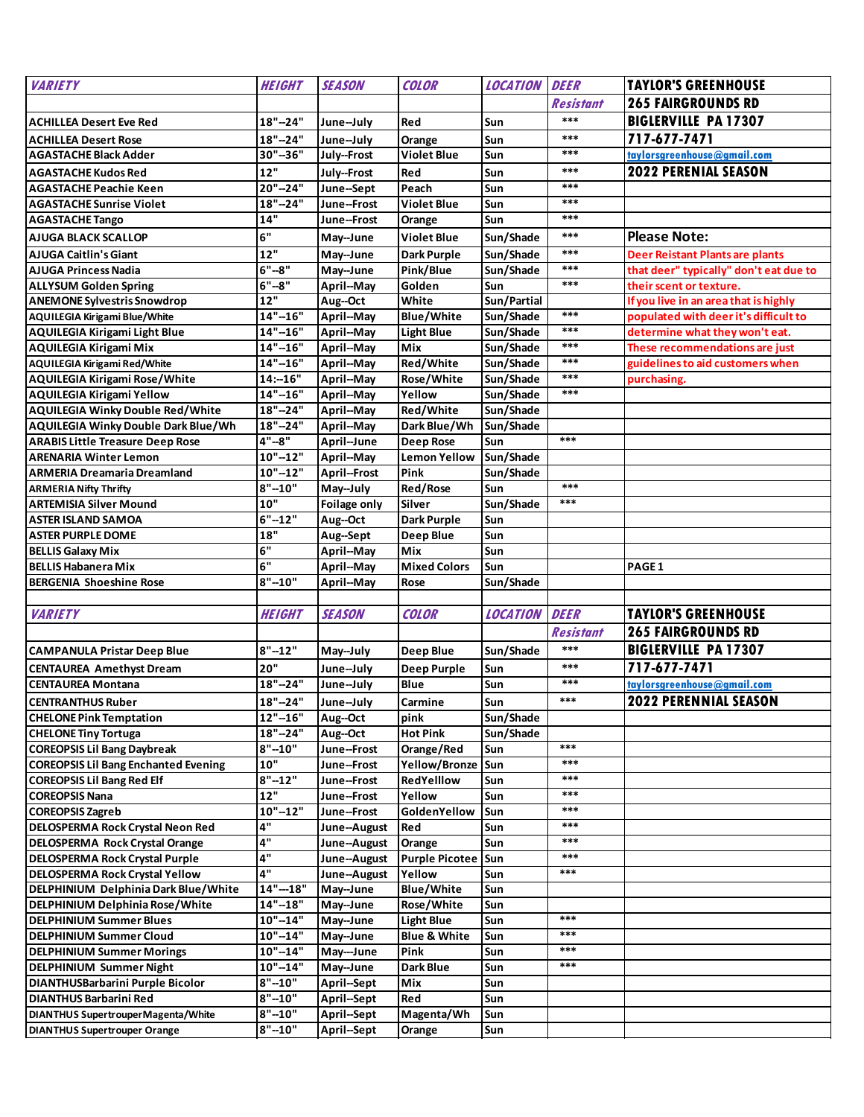| <b>VARIETY</b>                                                                 | <b>HEIGHT</b>             | <b>SEASON</b>                     | <b>COLOR</b>                | <b>LOCATION</b>        | <b>DEER</b>      | <b>TAYLOR'S GREENHOUSE</b>             |
|--------------------------------------------------------------------------------|---------------------------|-----------------------------------|-----------------------------|------------------------|------------------|----------------------------------------|
|                                                                                |                           |                                   |                             |                        | <b>Resistant</b> | <b>265 FAIRGROUNDS RD</b>              |
| <b>ACHILLEA Desert Eve Red</b>                                                 | $18" - 24"$               | June-July                         | Red                         | Sun                    | $***$            | <b>BIGLERVILLE PA 17307</b>            |
| <b>ACHILLEA Desert Rose</b>                                                    | $18" - 24"$               | June-July                         | Orange                      | Sun                    | $***$            | 717-677-7471                           |
| <b>AGASTACHE Black Adder</b>                                                   | 30"-36"                   | July--Frost                       | <b>Violet Blue</b>          | Sun                    | ***              | taylorsgreenhouse@gmail.com            |
| <b>AGASTACHE Kudos Red</b>                                                     | 12"                       | July--Frost                       | Red                         | Sun                    | $***$            | <b>2022 PERENIAL SEASON</b>            |
| <b>AGASTACHE Peachie Keen</b>                                                  | 20"-24"                   | June-Sept                         | Peach                       | Sun                    | ***              |                                        |
| <b>AGASTACHE Sunrise Violet</b>                                                | $18" - 24"$               | June--Frost                       | <b>Violet Blue</b>          | Sun                    | ***              |                                        |
| <b>AGASTACHE Tango</b>                                                         | 14"                       | June--Frost                       | Orange                      | Sun                    | ***              |                                        |
| <b>AJUGA BLACK SCALLOP</b>                                                     | 6"                        | May--June                         | <b>Violet Blue</b>          | Sun/Shade              | ***              | <b>Please Note:</b>                    |
| AJUGA Caitlin's Giant                                                          | 12"                       | May--June                         | <b>Dark Purple</b>          | Sun/Shade              | ***              | Deer Reistant Plants are plants        |
| <b>AJUGA Princess Nadia</b>                                                    | $6" - 8"$                 | May--June                         | Pink/Blue                   | Sun/Shade              | ***              | that deer" typically" don't eat due to |
| <b>ALLYSUM Golden Spring</b>                                                   | $6" - 8"$                 | April--May                        | Golden                      | Sun                    | $***$            | their scent or texture.                |
| <b>ANEMONE Sylvestris Snowdrop</b>                                             | 12"                       | Aug--Oct                          | White                       | Sun/Partial            |                  | If you live in an area that is highly  |
| <b>AQUILEGIA Kirigami Blue/White</b>                                           | $14" - 16"$               | April--May                        | <b>Blue/White</b>           | Sun/Shade              | $***$            | populated with deer it's difficult to  |
| AQUILEGIA Kirigami Light Blue                                                  | $14" - 16"$               | April--May                        | <b>Light Blue</b>           | Sun/Shade              | ***              | determine what they won't eat.         |
| AQUILEGIA Kirigami Mix                                                         | $14" - 16"$               | April--May                        | Mix                         | Sun/Shade              | ***              | These recommendations are just         |
| AQUILEGIA Kirigami Red/White                                                   | $14" - 16"$               | April--May                        | Red/White                   | Sun/Shade              | ***              | guidelines to aid customers when       |
| AQUILEGIA Kirigami Rose/White                                                  | $14:-16"$                 | April--May                        | Rose/White                  | Sun/Shade              | $***$            | purchasing.                            |
| <b>AQUILEGIA Kirigami Yellow</b>                                               | $14" - 16"$               | April--May                        | Yellow                      | Sun/Shade              | ***              |                                        |
| <b>AQUILEGIA Winky Double Red/White</b>                                        | $18" - 24"$               | April--May                        | Red/White                   | Sun/Shade              |                  |                                        |
| <b>AQUILEGIA Winky Double Dark Blue/Wh</b>                                     | $18" - 24"$               | April--May                        | Dark Blue/Wh                | Sun/Shade              | $***$            |                                        |
| <b>ARABIS Little Treasure Deep Rose</b>                                        | $4" - 8"$                 | April--June                       | <b>Deep Rose</b>            | <b>Sun</b>             |                  |                                        |
| <b>ARENARIA Winter Lemon</b>                                                   | $10" - 12"$               | April--May<br><b>April--Frost</b> | <b>Lemon Yellow</b><br>Pink | Sun/Shade<br>Sun/Shade |                  |                                        |
| <b>ARMERIA Dreamaria Dreamland</b><br><b>ARMERIA Nifty Thrifty</b>             | $10" - 12"$<br>$8" - 10"$ | May--July                         | Red/Rose                    | Sun                    | $***$            |                                        |
| <b>ARTEMISIA Silver Mound</b>                                                  | 10"                       | Foilage only                      | Silver                      | Sun/Shade              | $***$            |                                        |
| <b>ASTER ISLAND SAMOA</b>                                                      | $6" - 12"$                | Aug--Oct                          | Dark Purple                 | Sun                    |                  |                                        |
| <b>ASTER PURPLE DOME</b>                                                       | 18"                       | Aug--Sept                         | Deep Blue                   | <b>Sun</b>             |                  |                                        |
| <b>BELLIS Galaxy Mix</b>                                                       | 6"                        | April--May                        | Mix                         | <b>Sun</b>             |                  |                                        |
| <b>BELLIS Habanera Mix</b>                                                     | 6"                        | April--May                        | <b>Mixed Colors</b>         | Sun                    |                  | PAGE 1                                 |
| <b>BERGENIA Shoeshine Rose</b>                                                 | $8" - 10"$                | April--May                        | Rose                        | Sun/Shade              |                  |                                        |
|                                                                                |                           |                                   |                             |                        |                  |                                        |
| <b>VARIETY</b>                                                                 | <b>HEIGHT</b>             | <b>SEASON</b>                     | <b>COLOR</b>                | <b>LOCATION</b>        | <b>DEER</b>      | <b>TAYLOR'S GREENHOUSE</b>             |
|                                                                                |                           |                                   |                             |                        | <b>Resistant</b> | <b>265 FAIRGROUNDS RD</b>              |
| <b>CAMPANULA Pristar Deep Blue</b>                                             | $8" - 12"$                | May--July                         | <b>Deep Blue</b>            | Sun/Shade              | ***              | <b>BIGLERVILLE PA 17307</b>            |
| <b>CENTAUREA Amethyst Dream</b>                                                | 20"                       | June-July                         | <b>Deep Purple</b>          | Sun                    | $***$            | 717-677-7471                           |
| <b>CENTAUREA Montana</b>                                                       | $18" - 24"$               | June-July                         | Blue                        | Sun                    | $***$            | taylorsgreenhouse@gmail.com            |
| <b>CENTRANTHUS Ruber</b>                                                       | $18" - 24"$               | June-July                         | Carmine                     | Sun                    | $***$            | 2022 PERENNIAL SEASON                  |
| <b>CHELONE Pink Temptation</b>                                                 | $12" - 16"$               | Aug--Oct                          | pink                        | Sun/Shade              |                  |                                        |
| <b>CHELONE Tiny Tortuga</b>                                                    | $18" - 24"$               | Aug--Oct                          | <b>Hot Pink</b>             | Sun/Shade              |                  |                                        |
| <b>COREOPSIS Lil Bang Daybreak</b>                                             | $8" - 10"$                | June--Frost                       | Orange/Red                  | Sun                    | ***              |                                        |
| <b>COREOPSIS Lil Bang Enchanted Evening</b>                                    | 10"                       | June--Frost                       | Yellow/Bronze Sun           |                        | $***$            |                                        |
| <b>COREOPSIS Lil Bang Red Elf</b>                                              | $8" - 12"$                | June--Frost                       | RedYelllow                  | Sun                    | ***              |                                        |
| <b>COREOPSIS Nana</b>                                                          | 12"                       | June--Frost                       | Yellow                      | Sun                    | ***              |                                        |
| <b>COREOPSIS Zagreb</b>                                                        | $10" - 12"$               | June--Frost                       | GoldenYellow                | Sun                    | ***              |                                        |
| DELOSPERMA Rock Crystal Neon Red                                               | 4"                        | June--August                      | Red                         | Sun                    | ***              |                                        |
| <b>DELOSPERMA Rock Crystal Orange</b>                                          | 4"                        | June--August                      | <b>Orange</b>               | Sun                    | ***<br>***       |                                        |
| <b>DELOSPERMA Rock Crystal Purple</b><br><b>DELOSPERMA Rock Crystal Yellow</b> | 4"<br>4"                  | June--August                      | <b>Purple Picotee</b>       | Sun<br>Sun             | $***$            |                                        |
| DELPHINIUM Delphinia Dark Blue/White                                           | $14" - 18"$               | June--August                      | Yellow<br><b>Blue/White</b> | Sun                    |                  |                                        |
| DELPHINIUM Delphinia Rose/White                                                | $14" - 18"$               | May--June<br>May--June            | Rose/White                  | Sun                    |                  |                                        |
| <b>DELPHINIUM Summer Blues</b>                                                 | $10" - 14"$               | May--June                         | <b>Light Blue</b>           | Sun                    | ***              |                                        |
| <b>DELPHINIUM Summer Cloud</b>                                                 | $10" - 14"$               | May--June                         | <b>Blue &amp; White</b>     | Sun                    | $***$            |                                        |
| <b>DELPHINIUM Summer Morings</b>                                               | $10" - 14"$               | May---June                        | Pink                        | Sun                    | ***              |                                        |
| <b>DELPHINIUM Summer Night</b>                                                 | $10" - 14"$               | May--June                         | Dark Blue                   | Sun                    | ***              |                                        |
| DIANTHUSBarbarini Purple Bicolor                                               | $8" - 10"$                | April--Sept                       | Mix                         | Sun                    |                  |                                        |
| <b>DIANTHUS Barbarini Red</b>                                                  | 8"--10"                   | April--Sept                       | Red                         | Sun                    |                  |                                        |
| DIANTHUS SupertrouperMagenta/White                                             | $8" - 10"$                | April--Sept                       | Magenta/Wh                  | Sun                    |                  |                                        |
| <b>DIANTHUS Supertrouper Orange</b>                                            | $8" - 10"$                | April--Sept                       | Orange                      | Sun                    |                  |                                        |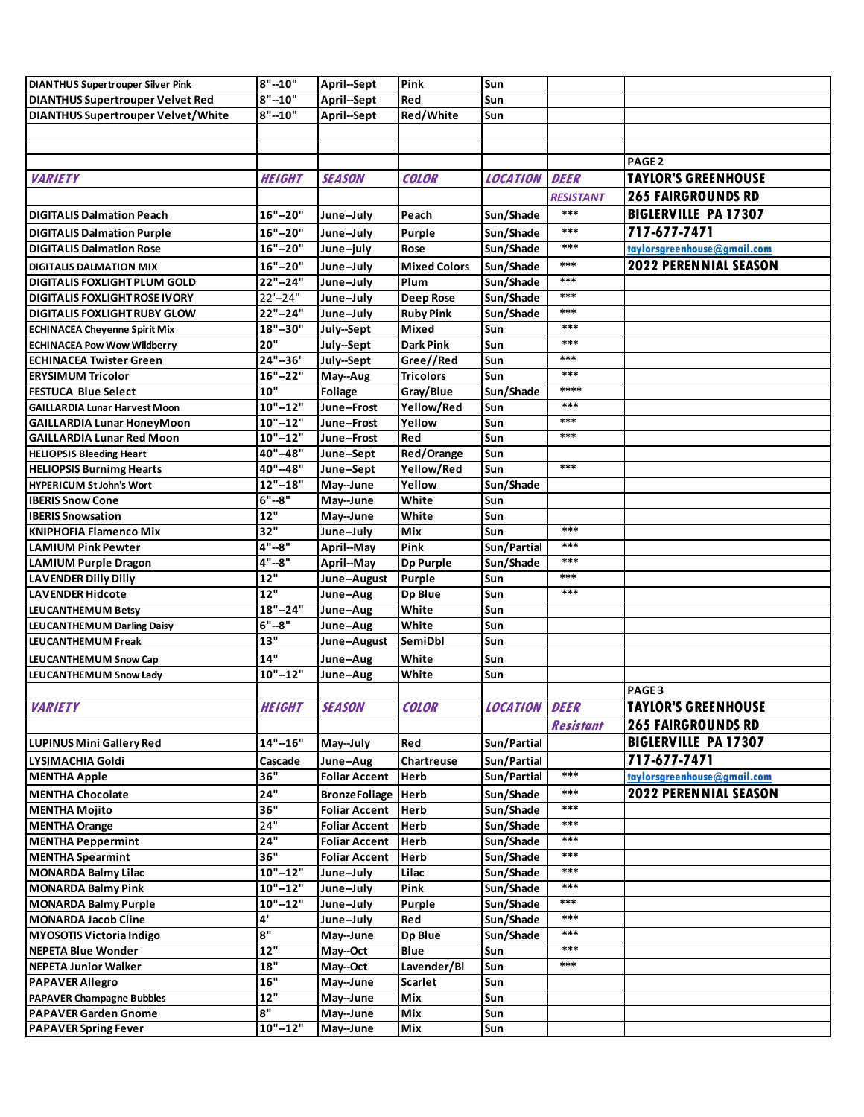| <b>DIANTHUS Supertrouper Silver Pink</b>  | $8" - 10"$    | April--Sept          | Pink                | Sun             |                  |                              |
|-------------------------------------------|---------------|----------------------|---------------------|-----------------|------------------|------------------------------|
| <b>DIANTHUS Supertrouper Velvet Red</b>   | $8" - 10"$    | April--Sept          | Red                 | Sun             |                  |                              |
| <b>DIANTHUS Supertrouper Velvet/White</b> | $8" - 10"$    | April--Sept          | Red/White           | Sun             |                  |                              |
|                                           |               |                      |                     |                 |                  |                              |
|                                           |               |                      |                     |                 |                  |                              |
|                                           |               |                      |                     |                 |                  | PAGE <sub>2</sub>            |
| <b>VARIETY</b>                            | <b>HEIGHT</b> | <b>SEASON</b>        | <b>COLOR</b>        | <b>LOCATION</b> | <b>DEER</b>      | <b>TAYLOR'S GREENHOUSE</b>   |
|                                           |               |                      |                     |                 | <b>RESISTANT</b> | <b>265 FAIRGROUNDS RD</b>    |
|                                           |               |                      |                     |                 | ***              |                              |
| <b>DIGITALIS Dalmation Peach</b>          | $16" - 20"$   | June-July            | Peach               | Sun/Shade       |                  | <b>BIGLERVILLE PA 17307</b>  |
| <b>DIGITALIS Dalmation Purple</b>         | $16" - 20"$   | June-July            | Purple              | Sun/Shade       | $***$            | 717-677-7471                 |
| <b>DIGITALIS Dalmation Rose</b>           | $16" - 20"$   | June-july            | Rose                | Sun/Shade       | ***              | taylorsgreenhouse@gmail.com  |
| <b>DIGITALIS DALMATION MIX</b>            | $16" - 20"$   | June-July            | <b>Mixed Colors</b> | Sun/Shade       | ***              | <b>2022 PERENNIAL SEASON</b> |
| <b>DIGITALIS FOXLIGHT PLUM GOLD</b>       | 22"-24"       | June-July            | Plum                | Sun/Shade       | ***              |                              |
| <b>DIGITALIS FOXLIGHT ROSE IVORY</b>      | $22'-24"$     | June-July            | <b>Deep Rose</b>    | Sun/Shade       | $***$            |                              |
| <b>DIGITALIS FOXLIGHT RUBY GLOW</b>       | 22"-24"       | June-July            | <b>Ruby Pink</b>    | Sun/Shade       | ***              |                              |
| <b>ECHINACEA Cheyenne Spirit Mix</b>      | 18"-30"       | July-Sept            | Mixed               | Sun             | ***              |                              |
| <b>ECHINACEA Pow Wow Wildberry</b>        | 20"           | July-Sept            | Dark Pink           | Sun             | ***              |                              |
| <b>ECHINACEA Twister Green</b>            | $24" - 36'$   | July-Sept            | Gree//Red           | Sun             | $***$            |                              |
| <b>ERYSIMUM Tricolor</b>                  | $16" - 22"$   | May--Aug             | <b>Tricolors</b>    | Sun             | ***              |                              |
| <b>FESTUCA Blue Select</b>                | 10"           | Foliage              | Gray/Blue           | Sun/Shade       | ****             |                              |
| <b>GAILLARDIA Lunar Harvest Moon</b>      | $10" - 12"$   | June--Frost          | Yellow/Red          | Sun             | ***              |                              |
| <b>GAILLARDIA Lunar HoneyMoon</b>         | $10" - 12"$   | June--Frost          | Yellow              | Sun             | ***              |                              |
| <b>GAILLARDIA Lunar Red Moon</b>          | $10" - 12"$   | June--Frost          | Red                 | Sun             | ***              |                              |
| <b>HELIOPSIS Bleeding Heart</b>           | 40"-48"       | June-Sept            | Red/Orange          | Sun             |                  |                              |
| <b>HELIOPSIS Burnimg Hearts</b>           | 40"-48"       | June--Sept           | Yellow/Red          | Sun             | ***              |                              |
| <b>HYPERICUM St John's Wort</b>           | $12" - 18"$   | May--June            | Yellow              | Sun/Shade       |                  |                              |
| <b>IBERIS Snow Cone</b>                   | $6" - 8"$     | May--June            | White               | Sun             |                  |                              |
| <b>IBERIS Snowsation</b>                  | 12"           | May--June            | White               | Sun             |                  |                              |
| <b>KNIPHOFIA Flamenco Mix</b>             | 32"           | June-July            | <b>Mix</b>          | Sun             | ***              |                              |
| <b>LAMIUM Pink Pewter</b>                 | 4"--8"        | April--May           | Pink                | Sun/Partial     | $***$            |                              |
| <b>LAMIUM Purple Dragon</b>               | $4" - 8"$     | April--May           | <b>Dp Purple</b>    | Sun/Shade       | ***              |                              |
| <b>LAVENDER Dilly Dilly</b>               | 12"           | June--August         | <b>Purple</b>       | Sun             | ***              |                              |
| <b>LAVENDER Hidcote</b>                   | 12"           | June--Aug            | <b>Dp Blue</b>      | Sun             | ***              |                              |
| LEUCANTHEMUM Betsy                        | $18" - 24"$   | June--Aug            | White               | Sun             |                  |                              |
| LEUCANTHEMUM Darling Daisy                | $6" - 8"$     | June--Aug            | White               | Sun             |                  |                              |
| <b>LEUCANTHEMUM Freak</b>                 | 13"           | June--August         | <b>SemiDbl</b>      | Sun             |                  |                              |
| LEUCANTHEMUM Snow Cap                     | 14"           | June--Aug            | White               | Sun             |                  |                              |
| LEUCANTHEMUM Snow Lady                    | $10" - 12"$   | June--Aug            | White               | Sun             |                  |                              |
|                                           |               |                      |                     |                 |                  | PAGE <sub>3</sub>            |
| <b>VARIETY</b>                            | <b>HEIGHT</b> | <b>SEASON</b>        | <b>COLOR</b>        | <b>LOCATION</b> | <b>DEER</b>      | <b>TAYLOR'S GREENHOUSE</b>   |
|                                           |               |                      |                     |                 | <b>Resistant</b> | <b>265 FAIRGROUNDS RD</b>    |
|                                           |               |                      |                     |                 |                  | <b>BIGLERVILLE PA 17307</b>  |
| LUPINUS Mini Gallery Red                  | $14" - 16"$   | May--July            | Red                 | Sun/Partial     |                  |                              |
| LYSIMACHIA Goldi                          | Cascade       | June--Aug            | Chartreuse          | Sun/Partial     |                  | 717-677-7471                 |
| <b>MENTHA Apple</b>                       | 36"           | <b>Foliar Accent</b> | <b>Herb</b>         | Sun/Partial     | ***              | taylorsgreenhouse@gmail.com  |
| <b>MENTHA Chocolate</b>                   | 24"           | <b>BronzeFoliage</b> | <b>Herb</b>         | Sun/Shade       | $***$            | 2022 PERENNIAL SEASON        |
| <b>MENTHA Mojito</b>                      | 36"           | <b>Foliar Accent</b> | <b>Herb</b>         | Sun/Shade       | ***              |                              |
| <b>MENTHA Orange</b>                      | 24"           | <b>Foliar Accent</b> | <b>Herb</b>         | Sun/Shade       | ***              |                              |
| <b>MENTHA Peppermint</b>                  | 24"           | <b>Foliar Accent</b> | <b>Herb</b>         | Sun/Shade       | ***              |                              |
| <b>MENTHA Spearmint</b>                   | 36"           | <b>Foliar Accent</b> | <b>Herb</b>         | Sun/Shade       | ***              |                              |
| <b>MONARDA Balmy Lilac</b>                | $10" - 12"$   | June-July            | Lilac               | Sun/Shade       | ***              |                              |
| <b>MONARDA Balmy Pink</b>                 | $10" - 12"$   | June-July            | Pink                | Sun/Shade       | ***              |                              |
| <b>MONARDA Balmy Purple</b>               | $10" - 12"$   | June-July            | Purple              | Sun/Shade       | ***              |                              |
| <b>MONARDA Jacob Cline</b>                | 4'            | June-July            | Red                 | Sun/Shade       | ***              |                              |
| <b>MYOSOTIS Victoria Indigo</b>           | 8"            | May--June            | <b>Dp Blue</b>      | Sun/Shade       | ***              |                              |
| NEPETA Blue Wonder                        | 12"           | May--Oct             | <b>Blue</b>         | Sun             | ***              |                              |
| <b>NEPETA Junior Walker</b>               | $18"$         | May--Oct             | Lavender/Bl         | Sun             | ***              |                              |
| <b>PAPAVER Allegro</b>                    | 16"           | May--June            | Scarlet             | Sun             |                  |                              |
| <b>PAPAVER Champagne Bubbles</b>          | 12"           | May--June            | Mix                 | Sun             |                  |                              |
| <b>PAPAVER Garden Gnome</b>               | 8"            | May--June            | Mix                 | Sun             |                  |                              |
| <b>PAPAVER Spring Fever</b>               | $10" - 12"$   | May--June            | Mix                 | Sun             |                  |                              |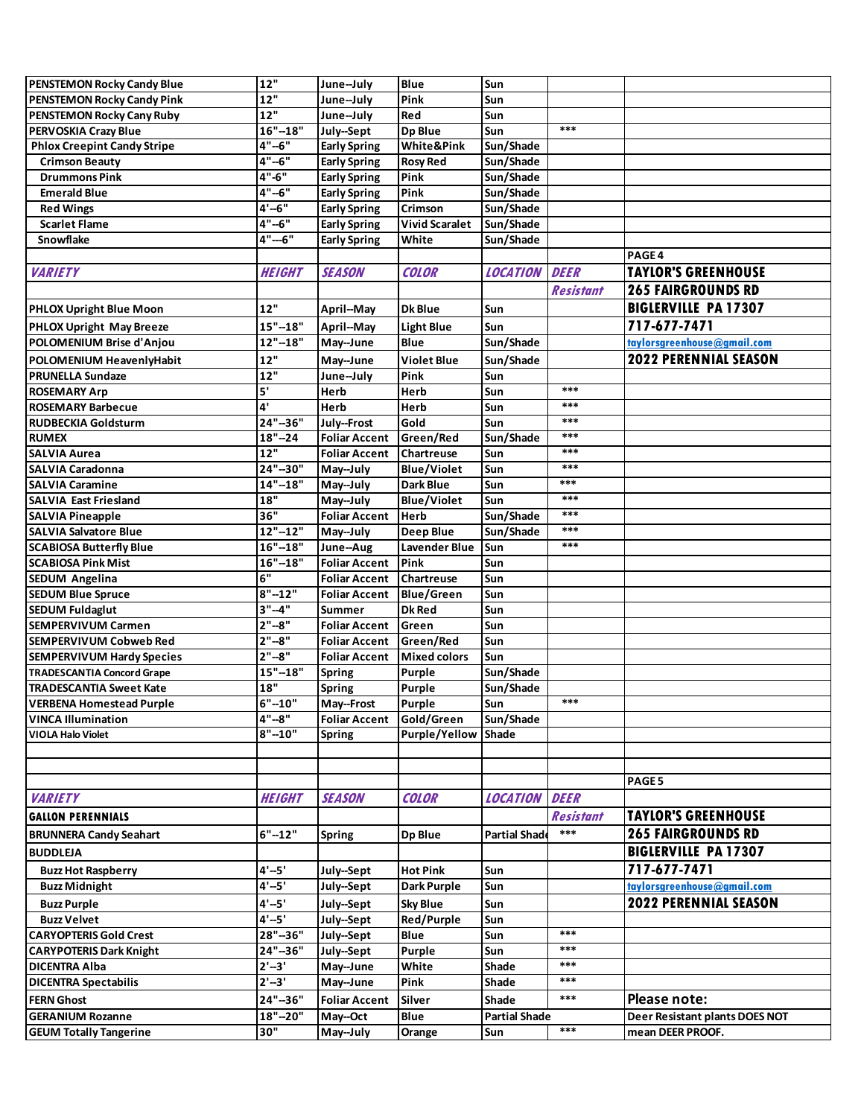| <b>PENSTEMON Rocky Candy Blue</b>  | 12"           | June-July            | <b>Blue</b>           | Sun                  |                  |                                |
|------------------------------------|---------------|----------------------|-----------------------|----------------------|------------------|--------------------------------|
|                                    |               |                      |                       |                      |                  |                                |
| PENSTEMON Rocky Candy Pink         | 12"           | June-July            | Pink                  | Sun                  |                  |                                |
| PENSTEMON Rocky Cany Ruby          | 12"           | June-July            | Red                   | Sun                  |                  |                                |
| PERVOSKIA Crazy Blue               | $16" - 18"$   | July-Sept            | <b>Dp Blue</b>        | Sun                  | $***$            |                                |
| <b>Phlox Creepint Candy Stripe</b> | $4" - 6"$     | <b>Early Spring</b>  | <b>White&amp;Pink</b> | Sun/Shade            |                  |                                |
| <b>Crimson Beauty</b>              | 4"--6"        | <b>Early Spring</b>  | <b>Rosy Red</b>       | Sun/Shade            |                  |                                |
| <b>Drummons Pink</b>               | 4"-6"         | <b>Early Spring</b>  | Pink                  | Sun/Shade            |                  |                                |
| <b>Emerald Blue</b>                | 4"--6"        | <b>Early Spring</b>  | Pink                  | Sun/Shade            |                  |                                |
| <b>Red Wings</b>                   | $4' - 6''$    | <b>Early Spring</b>  | Crimson               | Sun/Shade            |                  |                                |
| <b>Scarlet Flame</b>               | 4"--6"        | <b>Early Spring</b>  | <b>Vivid Scaralet</b> | Sun/Shade            |                  |                                |
| <b>Snowflake</b>                   | $4" - 6"$     | <b>Early Spring</b>  | White                 | Sun/Shade            |                  |                                |
|                                    |               |                      |                       |                      |                  | PAGE 4                         |
|                                    |               |                      |                       |                      |                  |                                |
| <b>VARIETY</b>                     | <b>HEIGHT</b> | <b>SEASON</b>        | <b>COLOR</b>          | <b>LOCATION</b>      | <b>DEER</b>      | <b>TAYLOR'S GREENHOUSE</b>     |
|                                    |               |                      |                       |                      | <b>Resistant</b> | <b>265 FAIRGROUNDS RD</b>      |
| <b>PHLOX Upright Blue Moon</b>     | 12"           | April--May           | <b>Dk Blue</b>        | Sun                  |                  | <b>BIGLERVILLE PA 17307</b>    |
| PHLOX Upright May Breeze           | $15" - 18"$   | April--May           | <b>Light Blue</b>     | Sun                  |                  | 717-677-7471                   |
| POLOMENIUM Brise d'Anjou           | $12" - 18"$   | May--June            | Blue                  | Sun/Shade            |                  | taylorsgreenhouse@gmail.com    |
|                                    | 12"           |                      | <b>Violet Blue</b>    | Sun/Shade            |                  | 2022 PERENNIAL SEASON          |
| POLOMENIUM HeavenlyHabit           | 12"           | May--June            |                       |                      |                  |                                |
| <b>PRUNELLA Sundaze</b>            |               | June-July            | Pink                  | Sun                  | $***$            |                                |
| <b>ROSEMARY Arp</b>                | 5'            | Herb                 | Herb                  | Sun                  |                  |                                |
| <b>ROSEMARY Barbecue</b>           | 4'            | Herb                 | Herb                  | <b>Sun</b>           | ***              |                                |
| <b>RUDBECKIA Goldsturm</b>         | $24 - 36$     | July--Frost          | Gold                  | Sun                  | ***              |                                |
| <b>RUMEX</b>                       | $18 - 24$     | <b>Foliar Accent</b> | Green/Red             | Sun/Shade            | ***              |                                |
| <b>SALVIA Aurea</b>                | 12"           | <b>Foliar Accent</b> | Chartreuse            | Sun                  | ***              |                                |
| <b>SALVIA Caradonna</b>            | 24"-30"       | May--July            | <b>Blue/Violet</b>    | Sun                  | ***              |                                |
| <b>SALVIA Caramine</b>             | $14" - 18"$   | May--July            | Dark Blue             | Sun                  | $***$            |                                |
| <b>SALVIA East Friesland</b>       | 18"           | May--July            | <b>Blue/Violet</b>    | Sun                  | ***              |                                |
| <b>SALVIA Pineapple</b>            | 36"           | <b>Foliar Accent</b> | <b>Herb</b>           | Sun/Shade            | $***$            |                                |
| <b>SALVIA Salvatore Blue</b>       | $12" - 12"$   | May--July            | Deep Blue             | Sun/Shade            | ***              |                                |
| <b>SCABIOSA Butterfly Blue</b>     | $16" - 18"$   | June--Aug            | Lavender Blue         | Sun                  | $***$            |                                |
| <b>SCABIOSA Pink Mist</b>          | $16" - 18"$   | <b>Foliar Accent</b> | Pink                  | Sun                  |                  |                                |
|                                    | 6"            |                      |                       |                      |                  |                                |
| <b>SEDUM Angelina</b>              |               | <b>Foliar Accent</b> | Chartreuse            | Sun                  |                  |                                |
| <b>SEDUM Blue Spruce</b>           | $8" - 12"$    | <b>Foliar Accent</b> | <b>Blue/Green</b>     | Sun                  |                  |                                |
| <b>SEDUM Fuldaglut</b>             | 3"--4"        | Summer               | Dk Red                | Sun                  |                  |                                |
| <b>SEMPERVIVUM Carmen</b>          | $2" - 8"$     | <b>Foliar Accent</b> | Green                 | Sun                  |                  |                                |
| SEMPERVIVUM Cobweb Red             | $2" - 8"$     | <b>Foliar Accent</b> | Green/Red             | Sun                  |                  |                                |
| <b>SEMPERVIVUM Hardy Species</b>   | $2" - 8"$     | <b>Foliar Accent</b> | <b>Mixed colors</b>   | Sun                  |                  |                                |
| <b>TRADESCANTIA Concord Grape</b>  | $15" - 18"$   | <b>Spring</b>        | Purple                | Sun/Shade            |                  |                                |
| <b>TRADESCANTIA Sweet Kate</b>     | 18"           | <b>Spring</b>        | Purple                | Sun/Shade            |                  |                                |
| <b>VERBENA Homestead Purple</b>    | $6" - 10"$    | May--Frost           | <b>Purple</b>         | Sun                  | $***$            |                                |
| <b>VINCA Illumination</b>          | $4" - 8"$     | <b>Foliar Accent</b> | Gold/Green            | Sun/Shade            |                  |                                |
| <b>VIOLA Halo Violet</b>           | $8" - 10"$    | Spring               | Purple/Yellow         | Shade                |                  |                                |
|                                    |               |                      |                       |                      |                  |                                |
|                                    |               |                      |                       |                      |                  |                                |
|                                    |               |                      |                       |                      |                  | PAGE 5                         |
| <b>VARIETY</b>                     | <b>HEIGHT</b> | <b>SEASON</b>        | <b>COLOR</b>          | <b>LOCATION</b>      | <b>DEER</b>      |                                |
|                                    |               |                      |                       |                      |                  |                                |
| <b>GALLON PERENNIALS</b>           |               |                      |                       |                      | <b>Resistant</b> | <b>TAYLOR'S GREENHOUSE</b>     |
| <b>BRUNNERA Candy Seahart</b>      | $6" - 12"$    | <b>Spring</b>        | Dp Blue               | <b>Partial Shad</b>  | $***$            | <b>265 FAIRGROUNDS RD</b>      |
| <b>BUDDLEJA</b>                    |               |                      |                       |                      |                  | <b>BIGLERVILLE PA 17307</b>    |
| <b>Buzz Hot Raspberry</b>          | $4'-5'$       | July-Sept            | <b>Hot Pink</b>       | Sun                  |                  | 717-677-7471                   |
| <b>Buzz Midnight</b>               | 4'--5'        | July-Sept            | Dark Purple           | Sun                  |                  | taylorsgreenhouse@gmail.com    |
|                                    |               |                      |                       |                      |                  |                                |
| <b>Buzz Purple</b>                 | $4'-5'$       | July-Sept            | <b>Sky Blue</b>       | Sun                  |                  | <b>2022 PERENNIAL SEASON</b>   |
| <b>Buzz Velvet</b>                 | $4' - 5'$     | July--Sept           | Red/Purple            | Sun                  |                  |                                |
| <b>CARYOPTERIS Gold Crest</b>      | 28"-36"       | July-Sept            | Blue                  | Sun                  | $***$            |                                |
| <b>CARYPOTERIS Dark Knight</b>     | 24"-36"       | July--Sept           | Purple                | Sun                  | $***$            |                                |
| <b>DICENTRA Alba</b>               | $2' - 3'$     | May--June            | White                 | Shade                | $***$            |                                |
| <b>DICENTRA Spectabilis</b>        | $2' - 3'$     | May--June            | Pink                  | Shade                | $***$            |                                |
| <b>FERN Ghost</b>                  | 24"-36"       | <b>Foliar Accent</b> | Silver                | Shade                | $***$            | Please note:                   |
| <b>GERANIUM Rozanne</b>            | $18" - 20"$   | May--Oct             | Blue                  | <b>Partial Shade</b> |                  | Deer Resistant plants DOES NOT |
| <b>GEUM Totally Tangerine</b>      | 30"           | May--July            |                       | Sun                  | $***$            | mean DEER PROOF.               |
|                                    |               |                      | Orange                |                      |                  |                                |